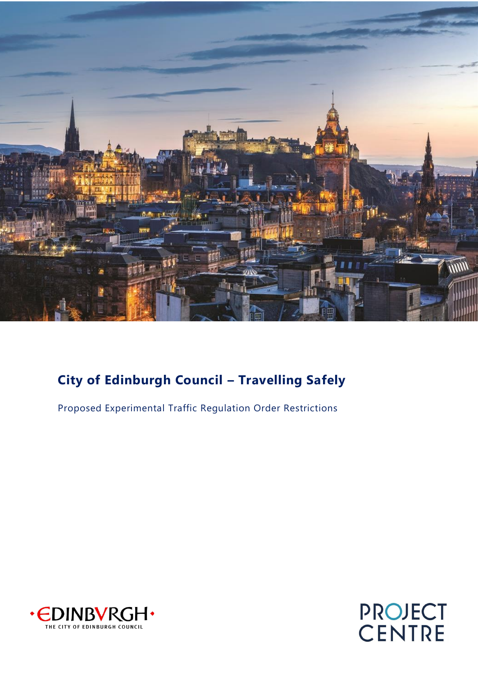

### **City of Edinburgh Council – Travelling Safely**

Proposed Experimental Traffic Regulation Order Restrictions



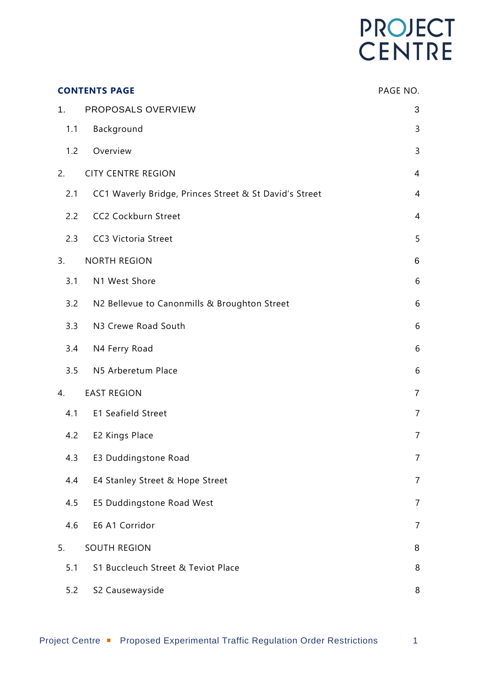# PROJECT<br>CENTRE

| <b>CONTENTS PAGE</b> |                                                        | PAGE NO.       |
|----------------------|--------------------------------------------------------|----------------|
| 1.                   | PROPOSALS OVERVIEW                                     | 3              |
| 1.1                  | Background                                             | 3              |
| 1.2                  | Overview                                               | 3              |
| 2.                   | <b>CITY CENTRE REGION</b>                              | $\overline{4}$ |
| 2.1                  | CC1 Waverly Bridge, Princes Street & St David's Street | 4              |
| 2.2                  | CC2 Cockburn Street                                    | 4              |
| 2.3                  | <b>CC3 Victoria Street</b>                             | 5              |
| 3.                   | <b>NORTH REGION</b>                                    | $\,6$          |
| 3.1                  | N1 West Shore                                          | 6              |
| 3.2                  | N2 Bellevue to Canonmills & Broughton Street           | 6              |
| 3.3                  | N3 Crewe Road South                                    | 6              |
| 3.4                  | N4 Ferry Road                                          | 6              |
| 3.5                  | N5 Arberetum Place                                     | 6              |
| 4.                   | <b>EAST REGION</b>                                     | $\overline{7}$ |
| 4.1                  | E1 Seafield Street                                     | $\overline{7}$ |
| 4.2                  | E2 Kings Place                                         | $\overline{7}$ |
| 4.3                  | E3 Duddingstone Road                                   | $\overline{7}$ |
| 4.4                  | E4 Stanley Street & Hope Street                        | $\overline{7}$ |
| 4.5                  | E5 Duddingstone Road West                              | $\overline{7}$ |
| 4.6                  | E6 A1 Corridor                                         | $\overline{7}$ |
| 5.                   | <b>SOUTH REGION</b>                                    | 8              |
| 5.1                  | S1 Buccleuch Street & Teviot Place                     | 8              |
| 5.2                  | S2 Causewayside                                        | 8              |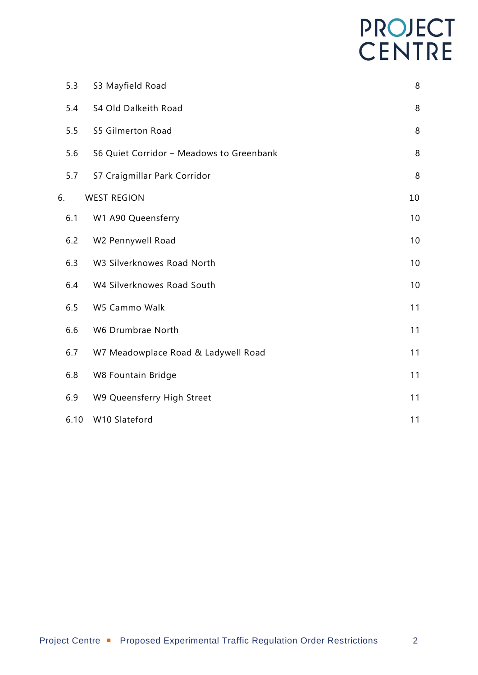# PROJECT<br>CENTRE

| 5.3  | S3 Mayfield Road                         | 8  |
|------|------------------------------------------|----|
| 5.4  | S4 Old Dalkeith Road                     | 8  |
| 5.5  | S5 Gilmerton Road                        | 8  |
| 5.6  | S6 Quiet Corridor - Meadows to Greenbank | 8  |
| 5.7  | S7 Craigmillar Park Corridor             | 8  |
| 6.   | <b>WEST REGION</b>                       | 10 |
| 6.1  | W1 A90 Queensferry                       | 10 |
| 6.2  | W2 Pennywell Road                        | 10 |
| 6.3  | W3 Silverknowes Road North               | 10 |
| 6.4  | W4 Silverknowes Road South               | 10 |
| 6.5  | W5 Cammo Walk                            | 11 |
| 6.6  | W6 Drumbrae North                        | 11 |
| 6.7  | W7 Meadowplace Road & Ladywell Road      | 11 |
| 6.8  | W8 Fountain Bridge                       | 11 |
| 6.9  | W9 Queensferry High Street               | 11 |
| 6.10 | W10 Slateford                            | 11 |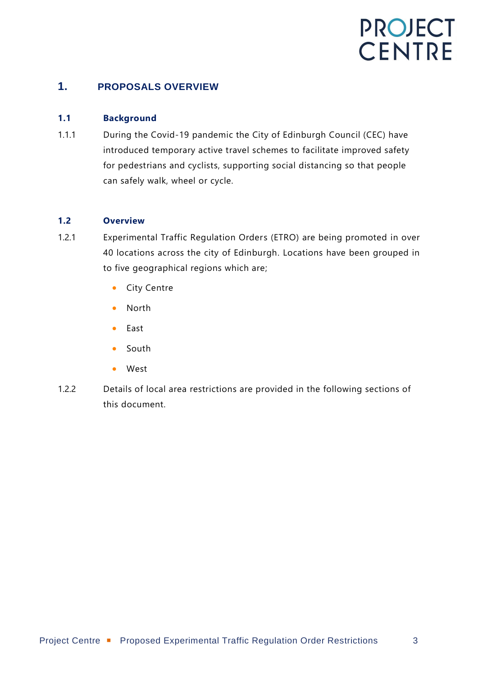#### <span id="page-3-0"></span>**1. PROPOSALS OVERVIEW**

#### <span id="page-3-1"></span>**1.1 Background**

1.1.1 During the Covid-19 pandemic the City of Edinburgh Council (CEC) have introduced temporary active travel schemes to facilitate improved safety for pedestrians and cyclists, supporting social distancing so that people can safely walk, wheel or cycle.

#### <span id="page-3-2"></span>**1.2 Overview**

- 1.2.1 Experimental Traffic Regulation Orders (ETRO) are being promoted in over 40 locations across the city of Edinburgh. Locations have been grouped in to five geographical regions which are;
	- City Centre
	- North
	- East
	- South
	- West
- 1.2.2 Details of local area restrictions are provided in the following sections of this document.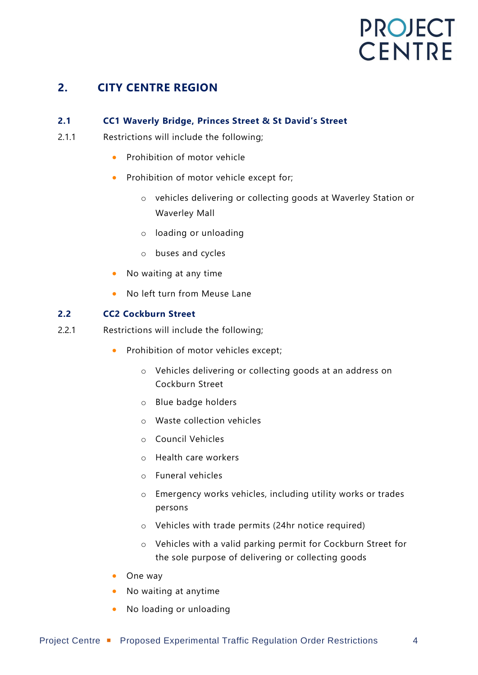### <span id="page-4-0"></span>**2. CITY CENTRE REGION**

#### <span id="page-4-1"></span>**2.1 CC1 Waverly Bridge, Princes Street & St David's Street**

- 2.1.1 Restrictions will include the following;
	- Prohibition of motor vehicle
	- Prohibition of motor vehicle except for;
		- o vehicles delivering or collecting goods at Waverley Station or Waverley Mall
		- o loading or unloading
		- o buses and cycles
	- No waiting at any time
	- No left turn from Meuse Lane

#### <span id="page-4-2"></span>**2.2 CC2 Cockburn Street**

- 2.2.1 Restrictions will include the following;
	- Prohibition of motor vehicles except;
		- o Vehicles delivering or collecting goods at an address on Cockburn Street
		- o Blue badge holders
		- o Waste collection vehicles
		- o Council Vehicles
		- o Health care workers
		- o Funeral vehicles
		- o Emergency works vehicles, including utility works or trades persons
		- o Vehicles with trade permits (24hr notice required)
		- o Vehicles with a valid parking permit for Cockburn Street for the sole purpose of delivering or collecting goods
	- One way
	- No waiting at anytime
	- No loading or unloading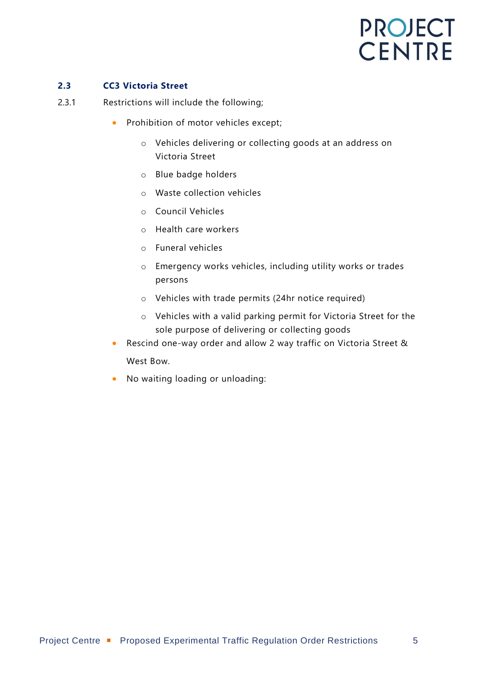#### <span id="page-5-0"></span>**2.3 CC3 Victoria Street**

- 2.3.1 Restrictions will include the following;
	- Prohibition of motor vehicles except;
		- o Vehicles delivering or collecting goods at an address on Victoria Street
		- o Blue badge holders
		- o Waste collection vehicles
		- o Council Vehicles
		- o Health care workers
		- o Funeral vehicles
		- o Emergency works vehicles, including utility works or trades persons
		- o Vehicles with trade permits (24hr notice required)
		- o Vehicles with a valid parking permit for Victoria Street for the sole purpose of delivering or collecting goods
	- Rescind one-way order and allow 2 way traffic on Victoria Street & West Bow.
	- No waiting loading or unloading: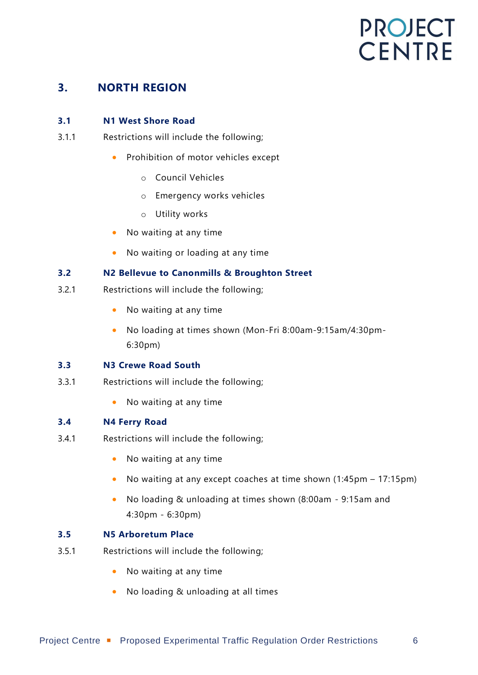### <span id="page-6-0"></span>**3. NORTH REGION**

#### <span id="page-6-1"></span>**3.1 N1 West Shore Road**

- 3.1.1 Restrictions will include the following;
	- Prohibition of motor vehicles except
		- o Council Vehicles
		- o Emergency works vehicles
		- o Utility works
	- No waiting at any time
	- No waiting or loading at any time

#### <span id="page-6-2"></span>**3.2 N2 Bellevue to Canonmills & Broughton Street**

- 3.2.1 Restrictions will include the following;
	- No waiting at any time
	- No loading at times shown (Mon-Fri 8:00am-9:15am/4:30pm-6:30pm)

#### <span id="page-6-3"></span>**3.3 N3 Crewe Road South**

- 3.3.1 Restrictions will include the following;
	- No waiting at any time

#### <span id="page-6-4"></span>**3.4 N4 Ferry Road**

- 3.4.1 Restrictions will include the following;
	- No waiting at any time
	- No waiting at any except coaches at time shown (1:45pm 17:15pm)
	- No loading & unloading at times shown (8:00am 9:15am and 4:30pm - 6:30pm)

#### <span id="page-6-5"></span>**3.5 N5 Arboretum Place**

- 3.5.1 Restrictions will include the following;
	- No waiting at any time
	- No loading & unloading at all times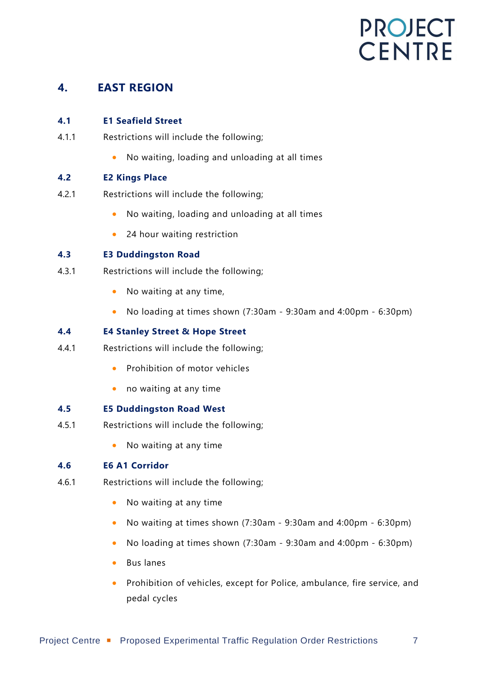### <span id="page-7-0"></span>**4. EAST REGION**

#### <span id="page-7-1"></span>**4.1 E1 Seafield Street**

- 4.1.1 Restrictions will include the following;
	- No waiting, loading and unloading at all times

#### <span id="page-7-2"></span>**4.2 E2 Kings Place**

- 4.2.1 Restrictions will include the following;
	- No waiting, loading and unloading at all times
	- 24 hour waiting restriction

#### <span id="page-7-3"></span>**4.3 E3 Duddingston Road**

- 4.3.1 Restrictions will include the following;
	- No waiting at any time,
	- No loading at times shown (7:30am 9:30am and 4:00pm 6:30pm)

#### <span id="page-7-4"></span>**4.4 E4 Stanley Street & Hope Street**

- 4.4.1 Restrictions will include the following;
	- Prohibition of motor vehicles
	- no waiting at any time

#### <span id="page-7-5"></span>**4.5 E5 Duddingston Road West**

- 4.5.1 Restrictions will include the following;
	- No waiting at any time

#### <span id="page-7-6"></span>**4.6 E6 A1 Corridor**

- 4.6.1 Restrictions will include the following;
	- No waiting at any time
	- No waiting at times shown (7:30am 9:30am and 4:00pm 6:30pm)
	- No loading at times shown (7:30am 9:30am and 4:00pm 6:30pm)
	- Bus lanes
	- Prohibition of vehicles, except for Police, ambulance, fire service, and pedal cycles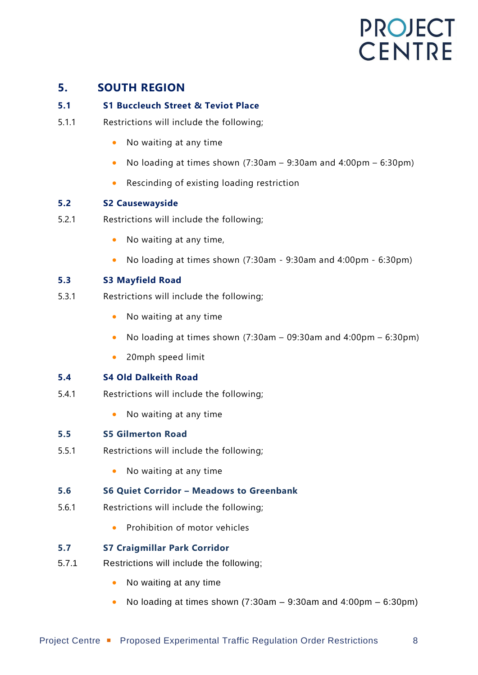### <span id="page-8-0"></span>**5. SOUTH REGION**

#### <span id="page-8-1"></span>**5.1 S1 Buccleuch Street & Teviot Place**

- 5.1.1 Restrictions will include the following;
	- No waiting at any time
	- No loading at times shown  $(7:30am 9:30am$  and  $4:00pm 6:30pm)$
	- Rescinding of existing loading restriction

#### <span id="page-8-2"></span>**5.2 S2 Causewayside**

- 5.2.1 Restrictions will include the following;
	- No waiting at any time,
	- No loading at times shown (7:30am 9:30am and 4:00pm 6:30pm)

#### <span id="page-8-3"></span>**5.3 S3 Mayfield Road**

- 5.3.1 Restrictions will include the following;
	- No waiting at any time
	- No loading at times shown  $(7:30am 09:30am)$  and  $4:00pm 6:30pm)$
	- 20mph speed limit

#### <span id="page-8-4"></span>**5.4 S4 Old Dalkeith Road**

- 5.4.1 Restrictions will include the following;
	- No waiting at any time

#### <span id="page-8-5"></span>**5.5 S5 Gilmerton Road**

- 5.5.1 Restrictions will include the following;
	- No waiting at any time

#### <span id="page-8-6"></span>**5.6 S6 Quiet Corridor – Meadows to Greenbank**

- 5.6.1 Restrictions will include the following;
	- Prohibition of motor vehicles

#### <span id="page-8-7"></span>**5.7 S7 Craigmillar Park Corridor**

- 5.7.1 Restrictions will include the following;
	- No waiting at any time
	- No loading at times shown  $(7:30am 9:30am$  and  $4:00pm 6:30pm)$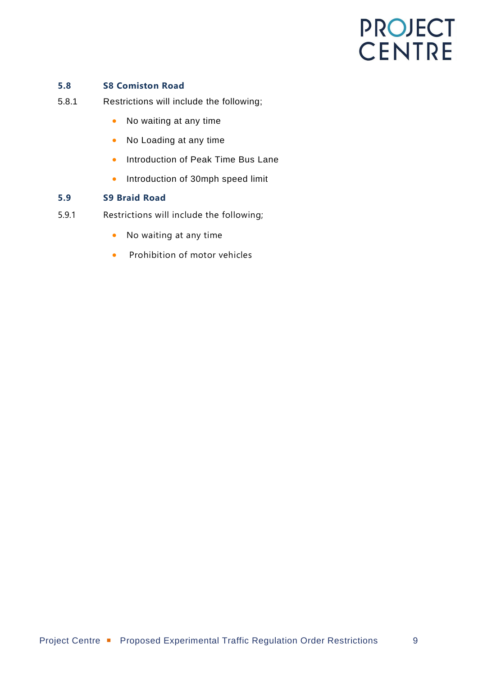#### **5.8 S8 Comiston Road**

- 5.8.1 Restrictions will include the following;
	- No waiting at any time
	- No Loading at any time
	- Introduction of Peak Time Bus Lane
	- Introduction of 30mph speed limit

#### **5.9 S9 Braid Road**

- 5.9.1 Restrictions will include the following;
	- No waiting at any time
	- Prohibition of motor vehicles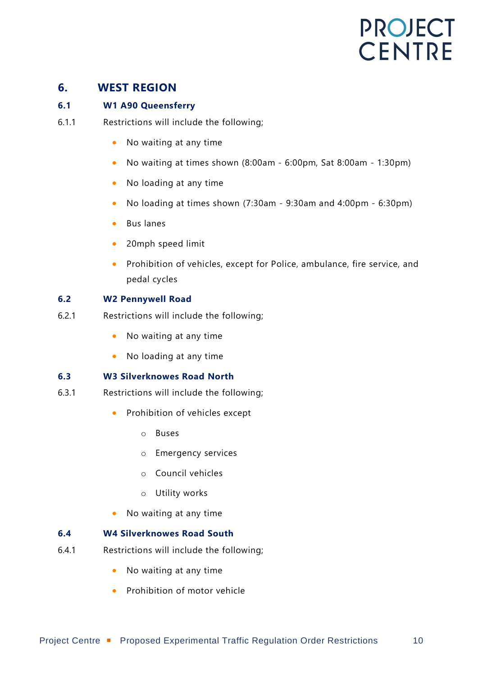### <span id="page-10-0"></span>**6. WEST REGION**

#### <span id="page-10-1"></span>**6.1 W1 A90 Queensferry**

- 6.1.1 Restrictions will include the following;
	- No waiting at any time
	- No waiting at times shown (8:00am 6:00pm, Sat 8:00am 1:30pm)
	- No loading at any time
	- No loading at times shown (7:30am 9:30am and 4:00pm 6:30pm)
	- Bus lanes
	- 20mph speed limit
	- Prohibition of vehicles, except for Police, ambulance, fire service, and pedal cycles

#### <span id="page-10-2"></span>**6.2 W2 Pennywell Road**

- 6.2.1 Restrictions will include the following;
	- No waiting at any time
	- No loading at any time

#### <span id="page-10-3"></span>**6.3 W3 Silverknowes Road North**

- 6.3.1 Restrictions will include the following;
	- Prohibition of vehicles except
		- o Buses
		- o Emergency services
		- o Council vehicles
		- o Utility works
	- No waiting at any time

#### <span id="page-10-4"></span>**6.4 W4 Silverknowes Road South**

- 6.4.1 Restrictions will include the following;
	- No waiting at any time
	- Prohibition of motor vehicle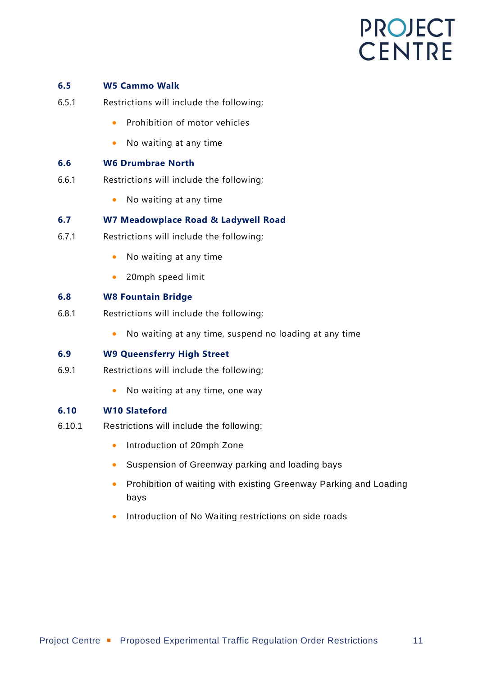#### <span id="page-11-0"></span>**6.5 W5 Cammo Walk**

- 6.5.1 Restrictions will include the following;
	- Prohibition of motor vehicles
	- No waiting at any time

#### <span id="page-11-1"></span>**6.6 W6 Drumbrae North**

- 6.6.1 Restrictions will include the following;
	- No waiting at any time

#### <span id="page-11-2"></span>**6.7 W7 Meadowplace Road & Ladywell Road**

- 6.7.1 Restrictions will include the following;
	- No waiting at any time
	- 20mph speed limit

#### <span id="page-11-3"></span>**6.8 W8 Fountain Bridge**

- 6.8.1 Restrictions will include the following;
	- No waiting at any time, suspend no loading at any time

#### <span id="page-11-4"></span>**6.9 W9 Queensferry High Street**

- 6.9.1 Restrictions will include the following;
	- No waiting at any time, one way

#### <span id="page-11-5"></span>**6.10 W10 Slateford**

- 6.10.1 Restrictions will include the following;
	- Introduction of 20mph Zone
	- Suspension of Greenway parking and loading bays
	- Prohibition of waiting with existing Greenway Parking and Loading bays
	- Introduction of No Waiting restrictions on side roads